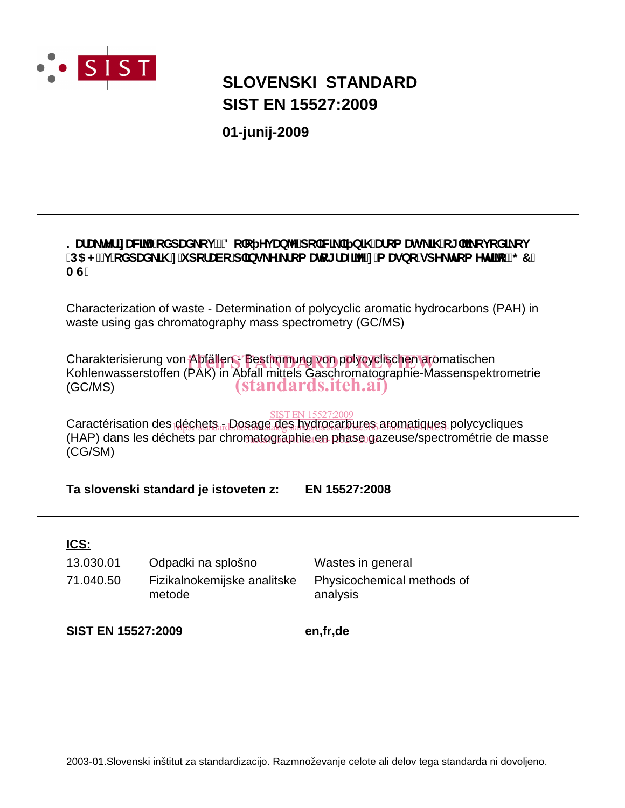

# **SIST EN 15527:2009 SLOVENSKI STANDARD**

**01-junij-2009**

# ? UFU\_hYf]nUWYUCXdUX\_cj '!'8 c'c Yj Ub^Y'dc']W\_'] b]\ 'Ufca Urg\_]\ 'c['^1\_cj cX]\_cj fD5<*E*j cXdUX\_N ni dcfUVc d']bg\_Y\_fca Urc[fUZ|<sup>o</sup>Y'n'a Ugbc gdY\_Ifca YIf]^c fl 7! AGŁ

Characterization of waste - Determination of polycyclic aromatic hydrocarbons (PAH) in waste using gas chromatography mass spectrometry (GC/MS)

Charakterisierung von Abfällen - Bestimmung von polycyclischen aromatischen<br>Kohlenwasserstoffen (PAK) in Abfall mittels Gaschromatographie-Massenspektr Kohlenwasserstoffen (PAK) in Abfall mittels Gaschromatographie-Massenspektrometrie (GC/MS) (standards.iteh.ai)

Caractérisation des déchets - Dosage des hydrocarbures aromatiques polycycliques (HAP) dans les déchets par chromatographie en phase gazeuse/spectrométrie de masse (CG/SM) SIST EN 15527:2009 https://standarde.ades.hydrocarbures.argmatiques-

**Ta slovenski standard je istoveten z: EN 15527:2008**

# **ICS:**

| 13.030.01 | Odpadki na splošno                    | Wastes in general                    |
|-----------|---------------------------------------|--------------------------------------|
| 71.040.50 | Fizikalnokemijske analitske<br>metode | <b>Physicochemical r</b><br>analysis |

emical methods of

**SIST EN 15527:2009 en,fr,de**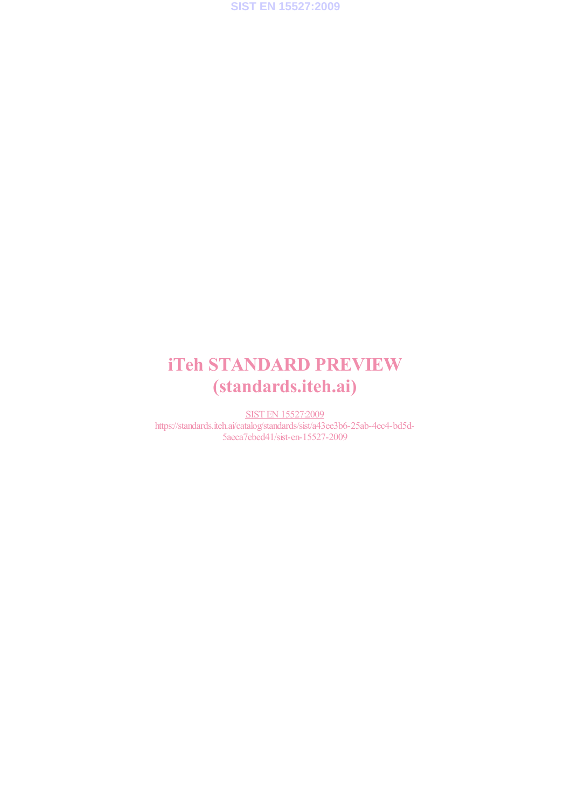

# iTeh STANDARD PREVIEW (standards.iteh.ai)

SIST EN 15527:2009 https://standards.iteh.ai/catalog/standards/sist/a43ee3b6-25ab-4ec4-bd5d-5aeca7ebed41/sist-en-15527-2009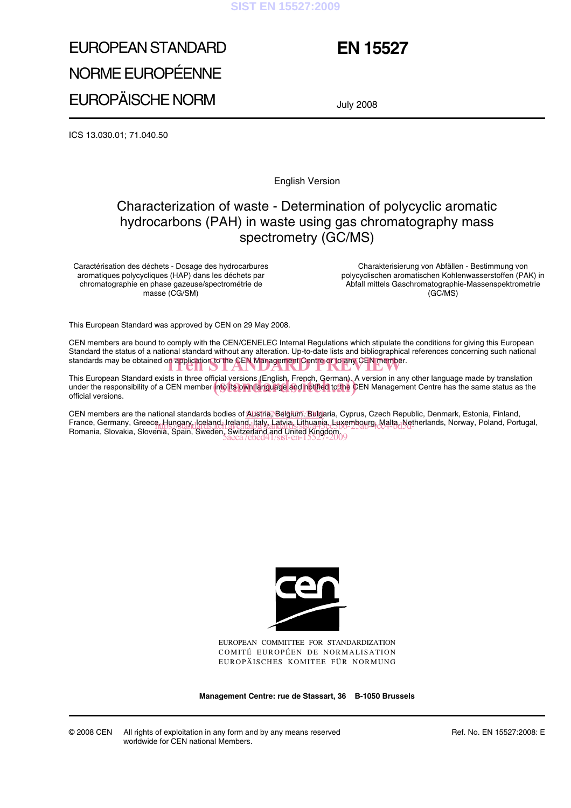### **SIST EN 15527:2009**

# EUROPEAN STANDARD NORME EUROPÉENNE EUROPÄISCHE NORM

# **EN 15527**

July 2008

ICS 13.030.01; 71.040.50

English Version

# Characterization of waste - Determination of polycyclic aromatic hydrocarbons (PAH) in waste using gas chromatography mass spectrometry (GC/MS)

Caractérisation des déchets - Dosage des hydrocarbures aromatiques polycycliques (HAP) dans les déchets par chromatographie en phase gazeuse/spectrométrie de masse (CG/SM)

Charakterisierung von Abfällen - Bestimmung von polycyclischen aromatischen Kohlenwasserstoffen (PAK) in Abfall mittels Gaschromatographie-Massenspektrometrie (GC/MS)

This European Standard was approved by CEN on 29 May 2008.

CEN members are bound to comply with the CEN/CENELEC Internal Regulations which stipulate the conditions for giving this European Standard the status of a national standard without any alteration. Up-to-date lists and bibliographical references concerning such national standards may be obtained on application to the CEN Management Centre or to any CEN member.

This European Standard exists in three official versions (English, French, German). A version in any other language made by translation This European Standard exists in three official versions (English, French, German). A version in any other language made by translation<br>under the responsibility of a CEN member into its own language and hotffied to the CEN official versions.

CEN members are the national standards bodies of Austria, Belgium, Bulgaria, Cyprus, Czech Republic, Denmark, Estonia, Finland, France, Germany, Greece, Hungary, Iceland, Ireland, Italy, Latvia, Lithuania, Luxembourg, Malta, Netherlands, Norway, Poland, Portugal, France, Germany, Greece, Hungary, Iceland, Ireland, Italy, Latyla, Lithuania, Luxembourg, Malta, Net<br>Romania, Slovakia, Slovenia, Spain, Sweden, Switzerland and United Kingdom. 5aeca7ebed41/sist-en-15527-2009



EUROPEAN COMMITTEE FOR STANDARDIZATION COMITÉ EUROPÉEN DE NORMALISATION EUROPÄISCHES KOMITEE FÜR NORMUNG

**Management Centre: rue de Stassart, 36 B-1050 Brussels**

Ref. No. EN 15527:2008: E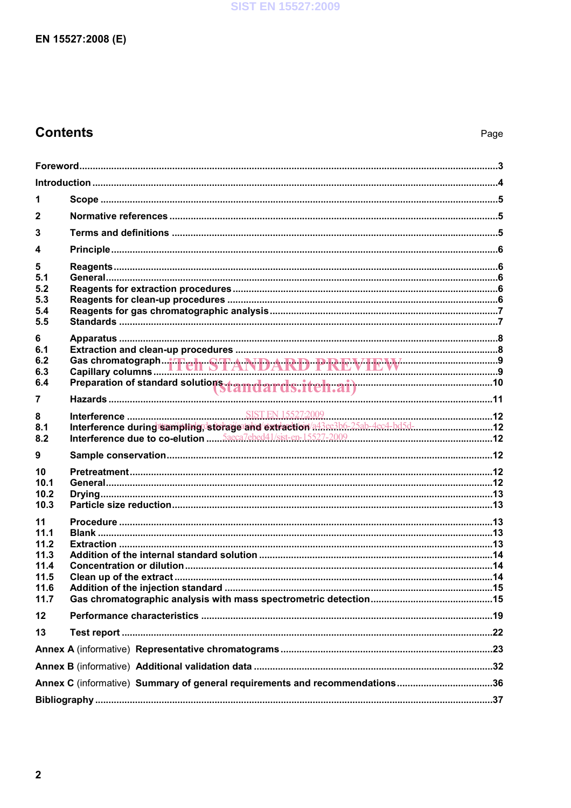# **Contents**

| 1                                    |                                                                                                                                                                                                                               |  |  |  |
|--------------------------------------|-------------------------------------------------------------------------------------------------------------------------------------------------------------------------------------------------------------------------------|--|--|--|
| $\mathbf{2}$                         |                                                                                                                                                                                                                               |  |  |  |
| 3                                    |                                                                                                                                                                                                                               |  |  |  |
| $\blacktriangle$                     |                                                                                                                                                                                                                               |  |  |  |
| 5<br>5.1<br>5.2<br>5.3<br>5.4<br>5.5 |                                                                                                                                                                                                                               |  |  |  |
| 6                                    |                                                                                                                                                                                                                               |  |  |  |
| 6.1<br>6.2                           |                                                                                                                                                                                                                               |  |  |  |
| 6.3<br>6.4                           |                                                                                                                                                                                                                               |  |  |  |
| 7                                    | Preparation of standard solutions tandard standard standard standard standard standard standard standard standard standard standard standard standard standard standard standard standard standard standard standard standard |  |  |  |
| 8                                    |                                                                                                                                                                                                                               |  |  |  |
| 8.1                                  | Interference during sampling, storage and extraction 43se3b6-25ab-4ec4-bd5d-                                                                                                                                                  |  |  |  |
| 8.2                                  |                                                                                                                                                                                                                               |  |  |  |
| 9                                    |                                                                                                                                                                                                                               |  |  |  |
| 10<br>10.1                           |                                                                                                                                                                                                                               |  |  |  |
| 10.2                                 |                                                                                                                                                                                                                               |  |  |  |
| 10.3                                 |                                                                                                                                                                                                                               |  |  |  |
| 11<br>11.1                           |                                                                                                                                                                                                                               |  |  |  |
| 11.2                                 |                                                                                                                                                                                                                               |  |  |  |
| 11.3<br>11.4                         |                                                                                                                                                                                                                               |  |  |  |
| 11.5                                 |                                                                                                                                                                                                                               |  |  |  |
| 11.6<br>11.7                         |                                                                                                                                                                                                                               |  |  |  |
| 12                                   |                                                                                                                                                                                                                               |  |  |  |
| 13                                   |                                                                                                                                                                                                                               |  |  |  |
|                                      |                                                                                                                                                                                                                               |  |  |  |
|                                      |                                                                                                                                                                                                                               |  |  |  |
|                                      | Annex C (informative) Summary of general requirements and recommendations36                                                                                                                                                   |  |  |  |
|                                      |                                                                                                                                                                                                                               |  |  |  |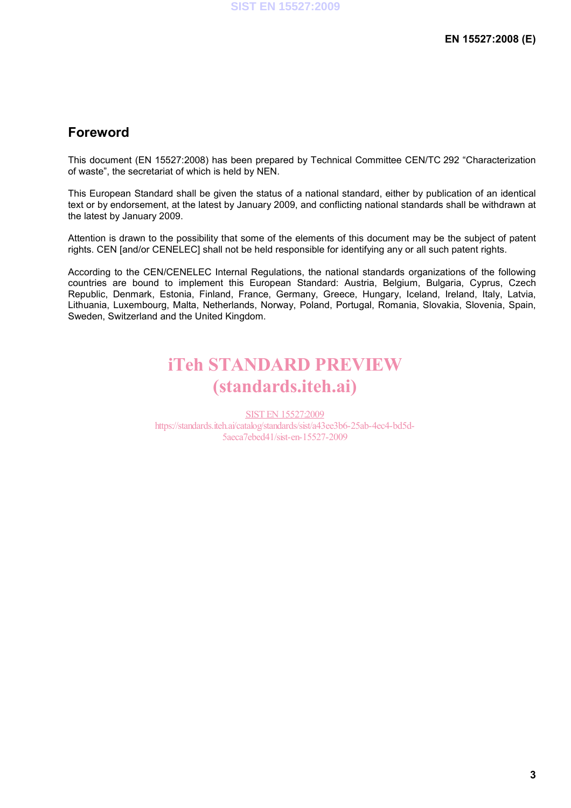# **Foreword**

This document (EN 15527:2008) has been prepared by Technical Committee CEN/TC 292 "Characterization of waste", the secretariat of which is held by NEN.

This European Standard shall be given the status of a national standard, either by publication of an identical text or by endorsement, at the latest by January 2009, and conflicting national standards shall be withdrawn at the latest by January 2009.

Attention is drawn to the possibility that some of the elements of this document may be the subject of patent rights. CEN [and/or CENELEC] shall not be held responsible for identifying any or all such patent rights.

According to the CEN/CENELEC Internal Regulations, the national standards organizations of the following countries are bound to implement this European Standard: Austria, Belgium, Bulgaria, Cyprus, Czech Republic, Denmark, Estonia, Finland, France, Germany, Greece, Hungary, Iceland, Ireland, Italy, Latvia, Lithuania, Luxembourg, Malta, Netherlands, Norway, Poland, Portugal, Romania, Slovakia, Slovenia, Spain, Sweden, Switzerland and the United Kingdom.

# iTeh STANDARD PREVIEW (standards.iteh.ai)

SIST EN 15527:2009 https://standards.iteh.ai/catalog/standards/sist/a43ee3b6-25ab-4ec4-bd5d-5aeca7ebed41/sist-en-15527-2009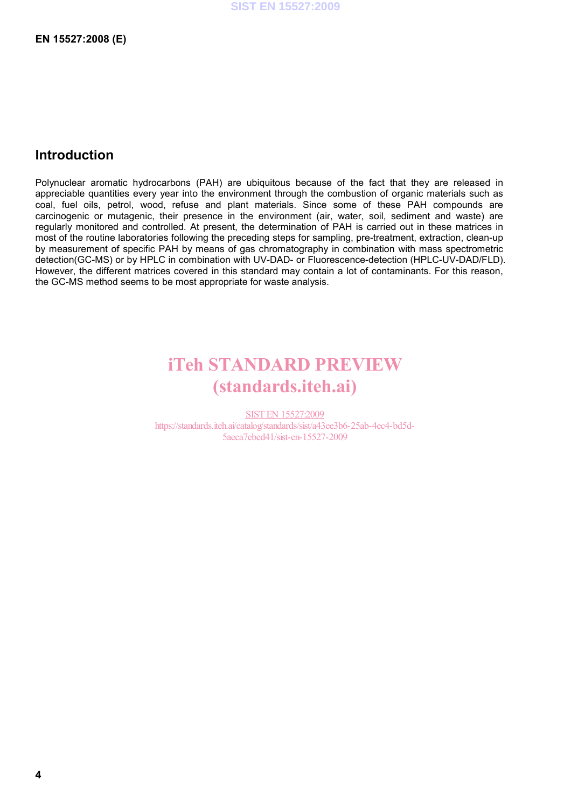# **Introduction**

Polynuclear aromatic hydrocarbons (PAH) are ubiquitous because of the fact that they are released in appreciable quantities every year into the environment through the combustion of organic materials such as coal, fuel oils, petrol, wood, refuse and plant materials. Since some of these PAH compounds are carcinogenic or mutagenic, their presence in the environment (air, water, soil, sediment and waste) are regularly monitored and controlled. At present, the determination of PAH is carried out in these matrices in most of the routine laboratories following the preceding steps for sampling, pre-treatment, extraction, clean-up by measurement of specific PAH by means of gas chromatography in combination with mass spectrometric detection(GC-MS) or by HPLC in combination with UV-DAD- or Fluorescence-detection (HPLC-UV-DAD/FLD). However, the different matrices covered in this standard may contain a lot of contaminants. For this reason, the GC-MS method seems to be most appropriate for waste analysis.

# iTeh STANDARD PREVIEW (standards.iteh.ai)

SIST EN 15527:2009 https://standards.iteh.ai/catalog/standards/sist/a43ee3b6-25ab-4ec4-bd5d-5aeca7ebed41/sist-en-15527-2009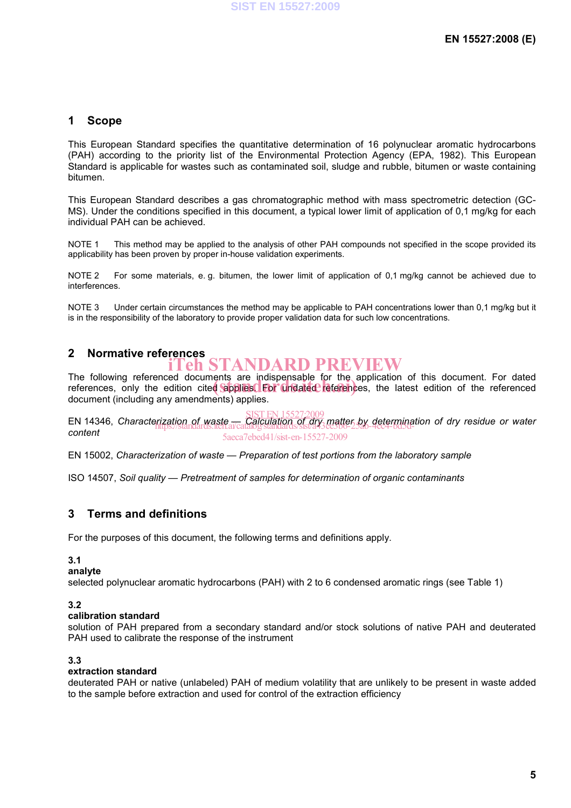# **1 Scope**

This European Standard specifies the quantitative determination of 16 polynuclear aromatic hydrocarbons (PAH) according to the priority list of the Environmental Protection Agency (EPA, 1982). This European Standard is applicable for wastes such as contaminated soil, sludge and rubble, bitumen or waste containing bitumen.

This European Standard describes a gas chromatographic method with mass spectrometric detection (GC-MS). Under the conditions specified in this document, a typical lower limit of application of 0,1 mg/kg for each individual PAH can be achieved.

NOTE 1 This method may be applied to the analysis of other PAH compounds not specified in the scope provided its applicability has been proven by proper in-house validation experiments.

NOTE 2 For some materials, e. g. bitumen, the lower limit of application of 0,1 mg/kg cannot be achieved due to interferences.

NOTE 3 Under certain circumstances the method may be applicable to PAH concentrations lower than 0.1 mg/kg but it is in the responsibility of the laboratory to provide proper validation data for such low concentrations.

### **2 Normative references**  iTeh STANDARD PREVIEW

The following referenced documents are indispensable for the application of this document. For dated The following referenced documents are indispensable for the application of this document. For dated referenced document (including any amendments) applies.

EN 14346, *Characterization of waste — Calculation of dry matter by determination of dry residue or water*  SIST EN 15527:2009 *content* ht**zanon of wasie <del>al</del>iculation of dry maller by determina**<br>https://standards.iteh.ai/catalog/standards/sist/a43ee3b6-23ab-4ec4-bd5d-5aeca7ebed41/sist-en-15527-2009

EN 15002, *Characterization of waste — Preparation of test portions from the laboratory sample*

ISO 14507, *Soil quality — Pretreatment of samples for determination of organic contaminants*

# **3 Terms and definitions**

For the purposes of this document, the following terms and definitions apply.

### **3.1**

# **analyte**

selected polynuclear aromatic hydrocarbons (PAH) with 2 to 6 condensed aromatic rings (see Table 1)

#### **3.2**

#### **calibration standard**

solution of PAH prepared from a secondary standard and/or stock solutions of native PAH and deuterated PAH used to calibrate the response of the instrument

#### **3.3**

#### **extraction standard**

deuterated PAH or native (unlabeled) PAH of medium volatility that are unlikely to be present in waste added to the sample before extraction and used for control of the extraction efficiency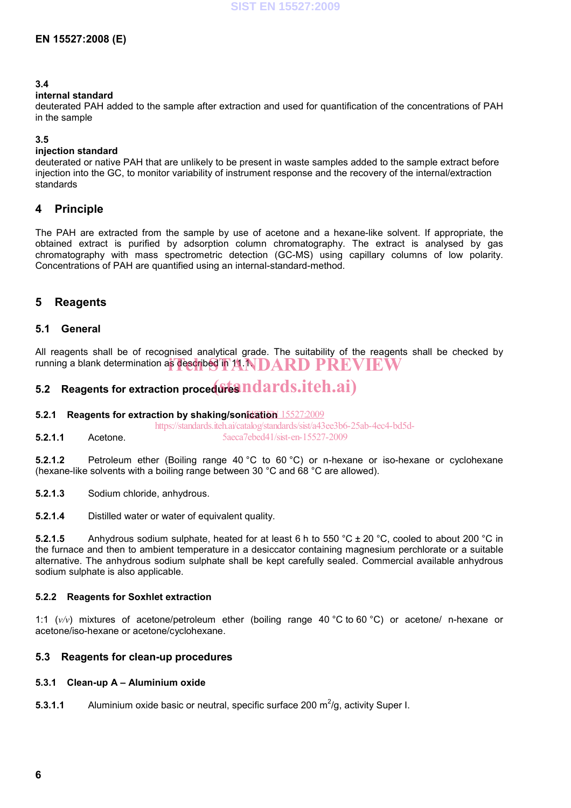# **3.4**

### **internal standard**

deuterated PAH added to the sample after extraction and used for quantification of the concentrations of PAH in the sample

### **3.5**

### **injection standard**

deuterated or native PAH that are unlikely to be present in waste samples added to the sample extract before injection into the GC, to monitor variability of instrument response and the recovery of the internal/extraction standards

# **4 Principle**

The PAH are extracted from the sample by use of acetone and a hexane-like solvent. If appropriate, the obtained extract is purified by adsorption column chromatography. The extract is analysed by gas chromatography with mass spectrometric detection (GC-MS) using capillary columns of low polarity. Concentrations of PAH are quantified using an internal-standard-method.

# **5 Reagents**

# **5.1 General**

All reagents shall be of recognised analytical grade. The suitability of the reagents shall be checked by running a blank determination as described in  $\texttt{ANDARD PREVIEW}$ 

# 5.2 Reagents for extraction procedureandards.iteh.ai)

# 5.2.1 Reagents for extraction by shaking/sonication **15527:2009**

https://standards.iteh.ai/catalog/standards/sist/a43ee3b6-25ab-4ec4-bd5d-

**5.2.1.1** Acetone. 5aeca7ebed41/sist-en-15527-2009

**5.2.1.2** Petroleum ether (Boiling range 40 °C to 60 °C) or n-hexane or iso-hexane or cyclohexane (hexane-like solvents with a boiling range between 30 °C and 68 °C are allowed).

**5.2.1.3** Sodium chloride, anhydrous.

**5.2.1.4** Distilled water or water of equivalent quality.

**5.2.1.5** • Anhydrous sodium sulphate, heated for at least 6 h to 550 °C ± 20 °C, cooled to about 200 °C in the furnace and then to ambient temperature in a desiccator containing magnesium perchlorate or a suitable alternative. The anhydrous sodium sulphate shall be kept carefully sealed. Commercial available anhydrous sodium sulphate is also applicable.

# **5.2.2 Reagents for Soxhlet extraction**

1:1 (*v/v*) mixtures of acetone/petroleum ether (boiling range 40 °C to 60 °C) or acetone/ n-hexane or acetone/iso-hexane or acetone/cyclohexane.

# **5.3 Reagents for clean-up procedures**

# **5.3.1 Clean-up A – Aluminium oxide**

**5.3.1.1** Aluminium oxide basic or neutral, specific surface 200  $\text{m}^2/\text{g}$ , activity Super I.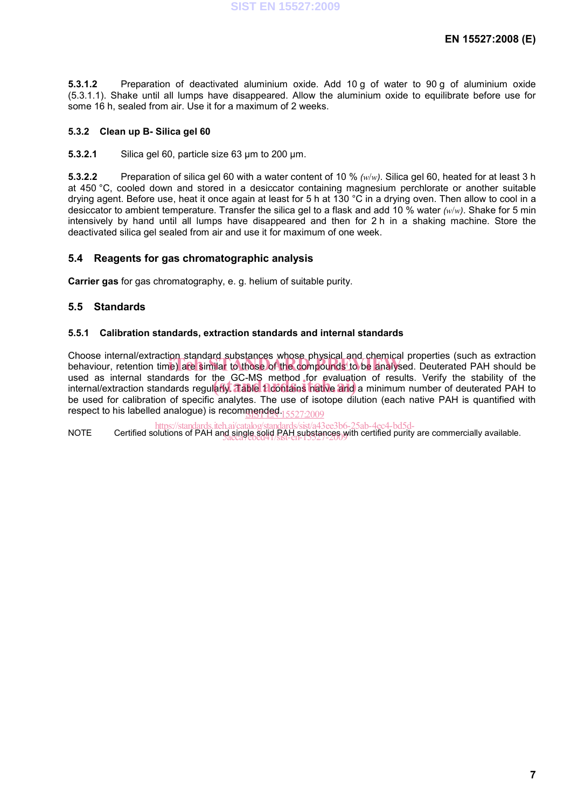**5.3.1.2** Preparation of deactivated aluminium oxide. Add 10 g of water to 90 g of aluminium oxide (5.3.1.1). Shake until all lumps have disappeared. Allow the aluminium oxide to equilibrate before use for some 16 h, sealed from air. Use it for a maximum of 2 weeks.

# **5.3.2 Clean up B- Silica gel 60**

**5.3.2.1** Silica gel 60, particle size 63 µm to 200 µm.

**5.3.2.2** Preparation of silica gel 60 with a water content of 10 % *(w*/*w)*. Silica gel 60, heated for at least 3 h at 450 °C, cooled down and stored in a desiccator containing magnesium perchlorate or another suitable drying agent. Before use, heat it once again at least for 5 h at 130 °C in a drying oven. Then allow to cool in a desiccator to ambient temperature. Transfer the silica gel to a flask and add 10 % water *(w*/*w)*. Shake for 5 min intensively by hand until all lumps have disappeared and then for 2 h in a shaking machine. Store the deactivated silica gel sealed from air and use it for maximum of one week.

# **5.4 Reagents for gas chromatographic analysis**

**Carrier gas** for gas chromatography, e. g. helium of suitable purity.

# **5.5 Standards**

#### **5.5.1 Calibration standards, extraction standards and internal standards**

Choose internal/extraction standard substances whose physical and chemical properties (such as extraction Crioose internaliextraction standard substances whose privated and chemical properties (such as extraction<br>behaviour, retention time) are similar to those of the compounds to be analysed. Deuterated PAH should be used as internal standards for the GC-MS method for evaluation of results. Verify the stability of the used as internal standards for the GC-MS method for evaluation of results. Verify the stability of the<br>internal/extraction standards regularly. Table 1 contains hative and a minimum number of deuterated PAH to be used for calibration of specific analytes. The use of isotope dilution (each native PAH is quantified with respect to his labelled analogue) is recommended  $_{15527:2009}$ 

https://standards.iteh.ai/catalog/standards/sist/a43ee3b6-25ab-4ec4-bd5d-<br>NOTE Certified solutions of PAH and single solid PAH substances with certified purity are commercially available. **10 single solid FAH substances b**<br>Saeca7ebed41/sist-en-15527-2009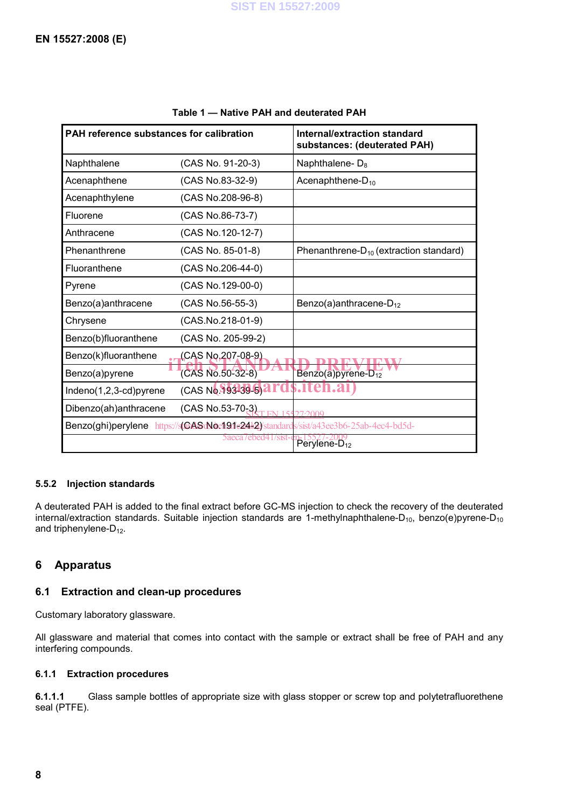| PAH reference substances for calibration |                          | Internal/extraction standard<br>substances: (deuterated PAH)          |
|------------------------------------------|--------------------------|-----------------------------------------------------------------------|
| Naphthalene                              | (CAS No. 91-20-3)        | Naphthalene- $D_8$                                                    |
| Acenaphthene                             | (CAS No.83-32-9)         | Acenaphthene- $D_{10}$                                                |
| Acenaphthylene                           | (CAS No.208-96-8)        |                                                                       |
| Fluorene                                 | (CAS No.86-73-7)         |                                                                       |
| Anthracene                               | (CAS No.120-12-7)        |                                                                       |
| Phenanthrene                             | (CAS No. 85-01-8)        | Phenanthrene- $D_{10}$ (extraction standard)                          |
| Fluoranthene                             | (CAS No.206-44-0)        |                                                                       |
| Pyrene                                   | (CAS No.129-00-0)        |                                                                       |
| Benzo(a)anthracene                       | (CAS No.56-55-3)         | Benzo(a)anthracene- $D_{12}$                                          |
| Chrysene                                 | (CAS.No.218-01-9)        |                                                                       |
| Benzo(b)fluoranthene                     | (CAS No. 205-99-2)       |                                                                       |
| Benzo(k)fluoranthene                     | <u>(CAS No.207-08-9)</u> |                                                                       |
| Benzo(a)pyrene                           | $(CAS No.50-32-8)$       | Benzo(a)pyrene-D <sub>12</sub>                                        |
| Indeno $(1,2,3$ -cd)pyrene               | $(CAS No.193-39-5)$      | .iten.a                                                               |
| Dibenzo(ah)anthracene                    | (CAS No.53-70-3)         | 2000C                                                                 |
| Benzo(ghi)perylene                       |                          | https://sto2dScNoeti9ile24k2y/standards/sist/a43ee3b6-25ab-4ec4-bd5d- |
|                                          | Saeca/ebed41/sist        | $Perviene-D_{12}$                                                     |

# **Table 1 — Native PAH and deuterated PAH**

# **5.5.2 Injection standards**

A deuterated PAH is added to the final extract before GC-MS injection to check the recovery of the deuterated internal/extraction standards. Suitable injection standards are 1-methylnaphthalene- $D_{10}$ , benzo(e)pyrene- $D_{10}$ and triphenylene- $D_{12}$ .

# **6 Apparatus**

# **6.1 Extraction and clean-up procedures**

Customary laboratory glassware.

All glassware and material that comes into contact with the sample or extract shall be free of PAH and any interfering compounds.

# **6.1.1 Extraction procedures**

**6.1.1.1** Glass sample bottles of appropriate size with glass stopper or screw top and polytetrafluorethene seal (PTFE).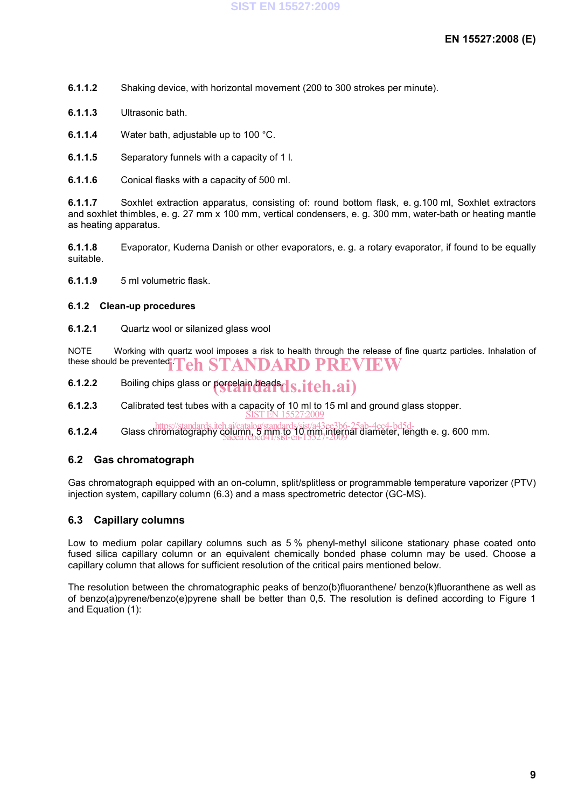**6.1.1.2** Shaking device, with horizontal movement (200 to 300 strokes per minute).

- **6.1.1.3** Ultrasonic bath.
- **6.1.1.4** Water bath, adjustable up to 100 °C.
- **6.1.1.5** Separatory funnels with a capacity of 1 l.

**6.1.1.6** Conical flasks with a capacity of 500 ml.

**6.1.1.7** Soxhlet extraction apparatus, consisting of: round bottom flask, e. g.100 ml, Soxhlet extractors and soxhlet thimbles, e. g. 27 mm x 100 mm, vertical condensers, e. g. 300 mm, water-bath or heating mantle as heating apparatus.

**6.1.1.8** Evaporator, Kuderna Danish or other evaporators, e. g. a rotary evaporator, if found to be equally suitable.

**6.1.1.9** 5 ml volumetric flask.

### **6.1.2 Clean-up procedures**

**6.1.2.1** Quartz wool or silanized glass wool

NOTE Working with quartz wool imposes a risk to health through the release of fine quartz particles. Inhalation of these should be prevented<sup>e</sup> Teh STANDARD PREVIEW

- **6.1.2.2** Boiling chips glass or porcelain beads ds.itch.ai)
- **6.1.2.3** Calibrated test tubes with a capacity of 10 ml to 15 ml and ground glass stopper. SIST EN 15527:2009
- **6.1.2.4** Glass chromatography column, 5 mm to 10 mm internal diameter, length e. g. 600 mm. 5aeca7ebed41/sist-en-15527-2009

# **6.2 Gas chromatograph**

Gas chromatograph equipped with an on-column, split/splitless or programmable temperature vaporizer (PTV) injection system, capillary column (6.3) and a mass spectrometric detector (GC-MS).

# **6.3 Capillary columns**

Low to medium polar capillary columns such as 5 % phenyl-methyl silicone stationary phase coated onto fused silica capillary column or an equivalent chemically bonded phase column may be used. Choose a capillary column that allows for sufficient resolution of the critical pairs mentioned below.

The resolution between the chromatographic peaks of benzo(b)fluoranthene/ benzo(k)fluoranthene as well as of benzo(a)pyrene/benzo(e)pyrene shall be better than 0,5. The resolution is defined according to Figure 1 and Equation (1):